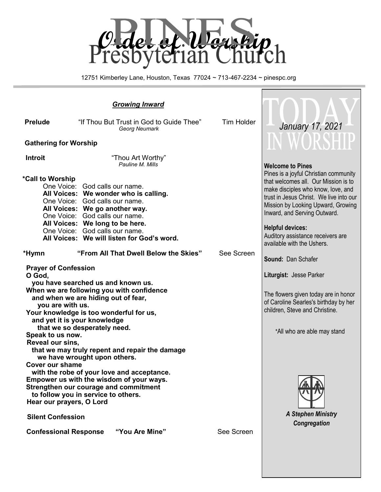

12751 Kimberley Lane, Houston, Texas 77024 ~ 713-467-2234 ~ pinespc.org

Г

| <b>Growing Inward</b>                                                                                                                                                                                                                                                                                                                                                                                     |                                                                                                                                                                                                                                                                                                  |            |                                                                                                                                                                                                                                                                                                                                    |
|-----------------------------------------------------------------------------------------------------------------------------------------------------------------------------------------------------------------------------------------------------------------------------------------------------------------------------------------------------------------------------------------------------------|--------------------------------------------------------------------------------------------------------------------------------------------------------------------------------------------------------------------------------------------------------------------------------------------------|------------|------------------------------------------------------------------------------------------------------------------------------------------------------------------------------------------------------------------------------------------------------------------------------------------------------------------------------------|
| <b>Prelude</b>                                                                                                                                                                                                                                                                                                                                                                                            | "If Thou But Trust in God to Guide Thee"<br>Georg Neumark                                                                                                                                                                                                                                        | Tim Holder | <b>January 17, 2021</b>                                                                                                                                                                                                                                                                                                            |
| <b>Gathering for Worship</b>                                                                                                                                                                                                                                                                                                                                                                              |                                                                                                                                                                                                                                                                                                  |            | V WORSHI                                                                                                                                                                                                                                                                                                                           |
| <b>Introit</b>                                                                                                                                                                                                                                                                                                                                                                                            | "Thou Art Worthy"<br>Pauline M. Mills                                                                                                                                                                                                                                                            |            | <b>Welcome to Pines</b>                                                                                                                                                                                                                                                                                                            |
| *Call to Worship                                                                                                                                                                                                                                                                                                                                                                                          | One Voice: God calls our name.<br>All Voices: We wonder who is calling.<br>One Voice: God calls our name.<br>All Voices: We go another way.<br>One Voice: God calls our name.<br>All Voices: We long to be here.<br>One Voice: God calls our name.<br>All Voices: We will listen for God's word. |            | Pines is a joyful Christian community<br>that welcomes all. Our Mission is to<br>make disciples who know, love, and<br>trust in Jesus Christ. We live into our<br>Mission by Looking Upward, Growing<br>Inward, and Serving Outward.<br><b>Helpful devices:</b><br>Auditory assistance receivers are<br>available with the Ushers. |
| *Hymn                                                                                                                                                                                                                                                                                                                                                                                                     | "From All That Dwell Below the Skies"                                                                                                                                                                                                                                                            | See Screen | Sound: Dan Schafer                                                                                                                                                                                                                                                                                                                 |
| <b>Prayer of Confession</b><br>O God,<br>you have searched us and known us.<br>When we are following you with confidence<br>and when we are hiding out of fear,<br>you are with us.<br>Your knowledge is too wonderful for us,<br>and yet it is your knowledge<br>that we so desperately need.<br>Speak to us now.<br>Reveal our sins,                                                                    |                                                                                                                                                                                                                                                                                                  |            | Liturgist: Jesse Parker<br>The flowers given today are in honor<br>of Caroline Searles's birthday by her<br>children, Steve and Christine.<br>*All who are able may stand                                                                                                                                                          |
| that we may truly repent and repair the damage<br>we have wrought upon others.<br><b>Cover our shame</b><br>with the robe of your love and acceptance<br>Empower us with the wisdom of your ways.<br>Strengthen our courage and commitment<br>to follow you in service to others.<br>Hear our prayers, O Lord<br><b>Silent Confession</b><br>"You Are Mine"<br>See Screen<br><b>Confessional Response</b> |                                                                                                                                                                                                                                                                                                  |            | <b>A Stephen Ministry</b><br>Congregation                                                                                                                                                                                                                                                                                          |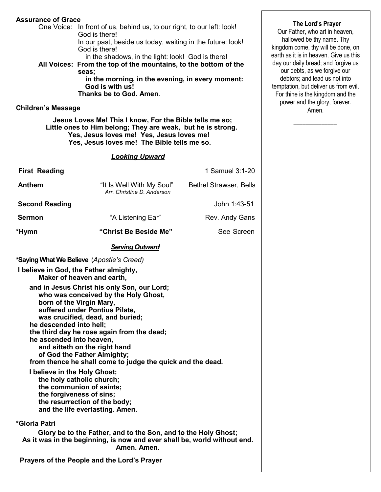#### **Assurance of Grace**

 One Voice: In front of us, behind us, to our right, to our left: look! God is there!

 In our past, beside us today, waiting in the future: look! God is there!

in the shadows, in the light: look! God is there!

**All Voices: From the top of the mountains, to the bottom of the seas;**

 **in the morning, in the evening, in every moment: God is with us! Thanks be to God. Amen**.

#### **Children's Message**

 **Jesus Loves Me! This I know, For the Bible tells me so; Little ones to Him belong; They are weak, but he is strong. Yes, Jesus loves me! Yes, Jesus loves me! Yes, Jesus loves me! The Bible tells me so.** 

#### *Looking Upward*

| <b>First Reading</b>                                                                                                                                                                                                                                                                                                                                                                                                                                                                                                                                               |                                                                                                                                                           | 1 Samuel 3:1-20               |  |  |  |
|--------------------------------------------------------------------------------------------------------------------------------------------------------------------------------------------------------------------------------------------------------------------------------------------------------------------------------------------------------------------------------------------------------------------------------------------------------------------------------------------------------------------------------------------------------------------|-----------------------------------------------------------------------------------------------------------------------------------------------------------|-------------------------------|--|--|--|
| <b>Anthem</b>                                                                                                                                                                                                                                                                                                                                                                                                                                                                                                                                                      | "It Is Well With My Soul"<br>Arr. Christine D. Anderson                                                                                                   | <b>Bethel Strawser, Bells</b> |  |  |  |
| <b>Second Reading</b>                                                                                                                                                                                                                                                                                                                                                                                                                                                                                                                                              |                                                                                                                                                           | John 1:43-51                  |  |  |  |
| Sermon                                                                                                                                                                                                                                                                                                                                                                                                                                                                                                                                                             | "A Listening Ear"                                                                                                                                         | Rev. Andy Gans                |  |  |  |
| *Hymn                                                                                                                                                                                                                                                                                                                                                                                                                                                                                                                                                              | "Christ Be Beside Me"                                                                                                                                     | See Screen                    |  |  |  |
|                                                                                                                                                                                                                                                                                                                                                                                                                                                                                                                                                                    | <b>Serving Outward</b>                                                                                                                                    |                               |  |  |  |
| *Saying What We Believe (Apostle's Creed)                                                                                                                                                                                                                                                                                                                                                                                                                                                                                                                          |                                                                                                                                                           |                               |  |  |  |
| I believe in God, the Father almighty,<br>Maker of heaven and earth,                                                                                                                                                                                                                                                                                                                                                                                                                                                                                               |                                                                                                                                                           |                               |  |  |  |
| who was conceived by the Holy Ghost,<br>born of the Virgin Mary,<br>suffered under Pontius Pilate,<br>was crucified, dead, and buried;<br>he descended into hell;<br>the third day he rose again from the dead;<br>he ascended into heaven,<br>and sitteth on the right hand<br>of God the Father Almighty;<br>from thence he shall come to judge the quick and the dead.<br>I believe in the Holy Ghost;<br>the holy catholic church;<br>the communion of saints;<br>the forgiveness of sins;<br>the resurrection of the body;<br>and the life everlasting. Amen. |                                                                                                                                                           |                               |  |  |  |
| *Gloria Patri                                                                                                                                                                                                                                                                                                                                                                                                                                                                                                                                                      | Glory be to the Father, and to the Son, and to the Holy Ghost;<br>As it was in the beginning, is now and ever shall be, world without end.<br>Amen. Amen. |                               |  |  |  |
|                                                                                                                                                                                                                                                                                                                                                                                                                                                                                                                                                                    | Prayers of the People and the Lord's Prayer                                                                                                               |                               |  |  |  |

#### **The Lord's Prayer**

Our Father, who art in heaven, hallowed be thy name. Thy kingdom come, thy will be done, on earth as it is in heaven. Give us this day our daily bread; and forgive us our debts, as we forgive our debtors; and lead us not into temptation, but deliver us from evil. For thine is the kingdom and the power and the glory, forever. Amen.

 $\overline{\phantom{a}}$  ,  $\overline{\phantom{a}}$  ,  $\overline{\phantom{a}}$  ,  $\overline{\phantom{a}}$  ,  $\overline{\phantom{a}}$  ,  $\overline{\phantom{a}}$  ,  $\overline{\phantom{a}}$  ,  $\overline{\phantom{a}}$  ,  $\overline{\phantom{a}}$  ,  $\overline{\phantom{a}}$  ,  $\overline{\phantom{a}}$  ,  $\overline{\phantom{a}}$  ,  $\overline{\phantom{a}}$  ,  $\overline{\phantom{a}}$  ,  $\overline{\phantom{a}}$  ,  $\overline{\phantom{a}}$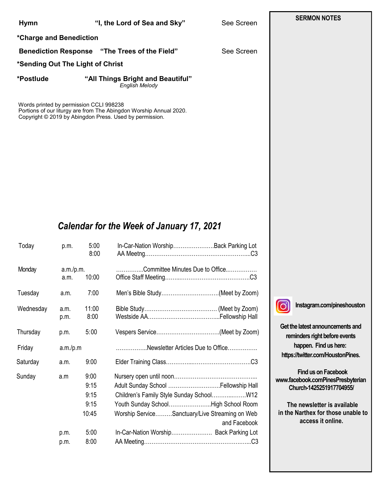| <b>Hymn</b>                       | "I, the Lord of Sea and Sky"                               | See Screen |  |  |  |  |
|-----------------------------------|------------------------------------------------------------|------------|--|--|--|--|
| *Charge and Benediction           |                                                            |            |  |  |  |  |
|                                   | <b>Benediction Response "The Trees of the Field"</b>       | See Screen |  |  |  |  |
| *Sending Out The Light of Christ  |                                                            |            |  |  |  |  |
| *Postlude                         | "All Things Bright and Beautiful"<br><b>English Melody</b> |            |  |  |  |  |
| $\mathbf{M}$ is in the contractor |                                                            |            |  |  |  |  |

Words printed by permission CCLI 998238 Portions of our liturgy are from The Abingdon Worship Annual 2020. Copyright © 2019 by Abingdon Press. Used by permission.

# *Calendar for the Week of January 17, 2021*

| Today     | p.m.              | 5:00<br>8:00                                  | In-Car-Nation WorshipBack Parking Lot                                                                                                                                                                                               |
|-----------|-------------------|-----------------------------------------------|-------------------------------------------------------------------------------------------------------------------------------------------------------------------------------------------------------------------------------------|
| Monday    | a.m./p.m.<br>a.m. | 10:00                                         | Committee Minutes Due to Office                                                                                                                                                                                                     |
| Tuesday   | a.m.              | 7:00                                          | Men's Bible Study(Meet by Zoom)                                                                                                                                                                                                     |
| Wednesday | a.m.<br>p.m.      | 11:00<br>8:00                                 |                                                                                                                                                                                                                                     |
| Thursday  | p.m.              | 5:00                                          |                                                                                                                                                                                                                                     |
| Friday    | a.m./p.m          |                                               | Newsletter Articles Due to Office                                                                                                                                                                                                   |
| Saturday  | a.m.              | 9:00                                          |                                                                                                                                                                                                                                     |
| Sunday    | a.m<br>p.m.       | 9:00<br>9:15<br>9:15<br>9:15<br>10:45<br>5:00 | Adult Sunday School  Fellowship Hall<br>Children's Family Style Sunday SchoolW12<br>Youth Sunday SchoolHigh School Room<br>Worship ServiceSanctuary/Live Streaming on Web<br>and Facebook<br>In-Car-Nation Worship Back Parking Lot |
|           | p.m.              | 8:00                                          |                                                                                                                                                                                                                                     |

**I**o

**Instagram.com/pineshouston**

**Get the latest announcements and reminders right before events happen. Find us here: https://twitter.com/HoustonPines.** 

 **Find us on Facebook www.facebook.comPinesPresbyterian Church-1425251917704955/**

 **The newsletter is available in the Narthex for those unable to access it online.**

### **SERMON NOTES**